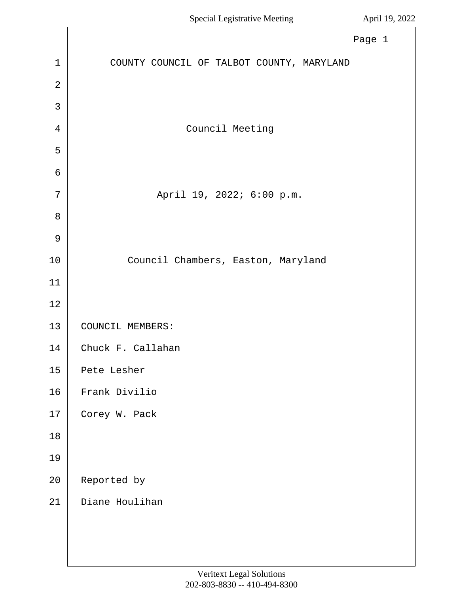<span id="page-0-0"></span>

|                | Page 1                                    |
|----------------|-------------------------------------------|
| $\mathbf{1}$   | COUNTY COUNCIL OF TALBOT COUNTY, MARYLAND |
| $\overline{2}$ |                                           |
| 3              |                                           |
| $\overline{4}$ | Council Meeting                           |
| 5              |                                           |
| 6              |                                           |
| 7              | April 19, 2022; 6:00 p.m.                 |
| 8              |                                           |
| $\mathcal{G}$  |                                           |
| 10             | Council Chambers, Easton, Maryland        |
| 11             |                                           |
| 12             |                                           |
| 13             | COUNCIL MEMBERS:                          |
| 14             | Chuck F. Callahan                         |
| 15             | Pete Lesher                               |
| 16             | Frank Divilio                             |
| $17\,$         | Corey W. Pack                             |
| $18\,$         |                                           |
| 19             |                                           |
| $20\,$         | Reported by                               |
| 21             | Diane Houlihan                            |
|                |                                           |
|                |                                           |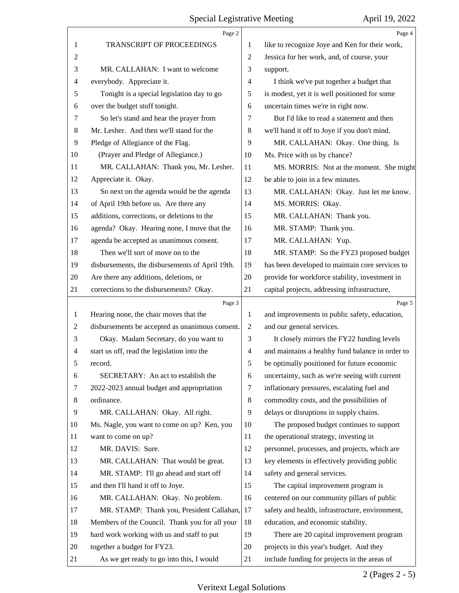<span id="page-1-0"></span>

|                | Page 2                                          |                | Page 4                                           |
|----------------|-------------------------------------------------|----------------|--------------------------------------------------|
| 1              | TRANSCRIPT OF PROCEEDINGS                       | 1              | like to recognize Joye and Ken for their work,   |
| 2              |                                                 | $\overline{2}$ | Jessica for her work, and, of course, your       |
| 3              | MR. CALLAHAN: I want to welcome                 | 3              | support.                                         |
| 4              | everybody. Appreciate it.                       | $\overline{4}$ | I think we've put together a budget that         |
| 5              | Tonight is a special legislation day to go      | 5              | is modest, yet it is well positioned for some    |
| 6              | over the budget stuff tonight.                  | 6              | uncertain times we're in right now.              |
| 7              | So let's stand and hear the prayer from         | 7              | But I'd like to read a statement and then        |
| 8              | Mr. Lesher. And then we'll stand for the        | 8              | we'll hand it off to Joye if you don't mind.     |
| 9              | Pledge of Allegiance of the Flag.               | 9              | MR. CALLAHAN: Okay. One thing. Is                |
| 10             | (Prayer and Pledge of Allegiance.)              | 10             | Ms. Price with us by chance?                     |
| 11             | MR. CALLAHAN: Thank you, Mr. Lesher.            | 11             | MS. MORRIS: Not at the moment. She might         |
| 12             | Appreciate it. Okay.                            | 12             | be able to join in a few minutes.                |
| 13             | So next on the agenda would be the agenda       | 13             | MR. CALLAHAN: Okay. Just let me know.            |
| 14             | of April 19th before us. Are there any          | 14             | MS. MORRIS: Okay.                                |
| 15             | additions, corrections, or deletions to the     | 15             | MR. CALLAHAN: Thank you.                         |
| 16             | agenda? Okay. Hearing none, I move that the     | 16             | MR. STAMP: Thank you.                            |
| 17             | agenda be accepted as unanimous consent.        | 17             | MR. CALLAHAN: Yup.                               |
| 18             | Then we'll sort of move on to the               | 18             | MR. STAMP: So the FY23 proposed budget           |
| 19             | disbursements, the disbursements of April 19th. | 19             | has been developed to maintain core services to  |
| 20             | Are there any additions, deletions, or          | 20             | provide for workforce stability, investment in   |
| 21             | corrections to the disbursements? Okay.         | 21             | capital projects, addressing infrastructure,     |
|                | Page 3                                          |                | Page 5                                           |
| 1              | Hearing none, the chair moves that the          | 1              | and improvements in public safety, education,    |
| $\overline{c}$ | disbursements be accepted as unanimous consent. | 2              | and our general services.                        |
|                |                                                 |                |                                                  |
| 3              | Okay. Madam Secretary, do you want to           | 3              | It closely mirrors the FY22 funding levels       |
| 4              | start us off, read the legislation into the     | $\overline{4}$ | and maintains a healthy fund balance in order to |
| 5              | record.                                         | 5              | be optimally positioned for future economic      |
| 6              | SECRETARY: An act to establish the              | 6              | uncertainty, such as we're seeing with current   |
| 7              | 2022-2023 annual budget and appropriation       | 7              | inflationary pressures, escalating fuel and      |
| 8              | ordinance.                                      | 8              | commodity costs, and the possibilities of        |
| 9              | MR. CALLAHAN: Okay. All right.                  | 9              | delays or disruptions in supply chains.          |
| 10             | Ms. Nagle, you want to come on up? Ken, you     | 10             | The proposed budget continues to support         |
| 11             | want to come on up?                             | 11             | the operational strategy, investing in           |
| 12             | MR. DAVIS: Sure.                                | 12             | personnel, processes, and projects, which are    |
| 13             | MR. CALLAHAN: That would be great.              | 13             | key elements in effectively providing public     |
| 14             | MR. STAMP: I'll go ahead and start off          | 14             | safety and general services.                     |
| 15             | and then I'll hand it off to Joye.              | 15             | The capital improvement program is               |
| 16             | MR. CALLAHAN: Okay. No problem.                 | 16             | centered on our community pillars of public      |
| 17             | MR. STAMP: Thank you, President Callahan,       | 17             | safety and health, infrastructure, environment,  |
| 18             | Members of the Council. Thank you for all your  | 18             | education, and economic stability.               |
| 19             | hard work working with us and staff to put      | 19             | There are 20 capital improvement program         |
| 20             | together a budget for FY23.                     | 20             | projects in this year's budget. And they         |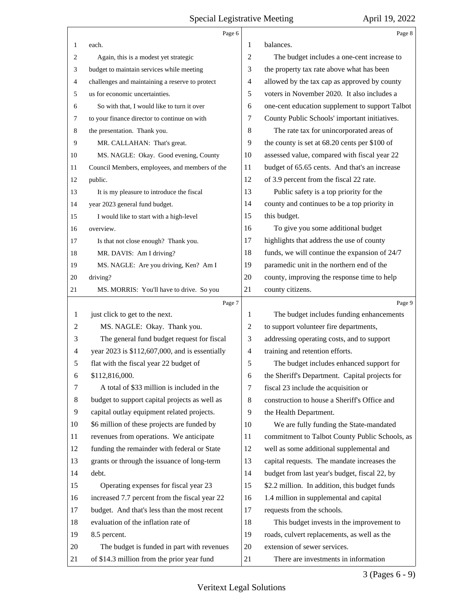<span id="page-2-0"></span>

|                          | Page 6                                          |                          | Page 8                                          |
|--------------------------|-------------------------------------------------|--------------------------|-------------------------------------------------|
| 1                        | each.                                           | 1                        | balances.                                       |
| 2                        | Again, this is a modest yet strategic           | 2                        | The budget includes a one-cent increase to      |
| 3                        | budget to maintain services while meeting       | 3                        | the property tax rate above what has been       |
| 4                        | challenges and maintaining a reserve to protect | 4                        | allowed by the tax cap as approved by county    |
| 5                        | us for economic uncertainties.                  | 5                        | voters in November 2020. It also includes a     |
| 6                        | So with that, I would like to turn it over      | 6                        | one-cent education supplement to support Talbot |
| 7                        | to your finance director to continue on with    | 7                        | County Public Schools' important initiatives.   |
| 8                        | the presentation. Thank you.                    | 8                        | The rate tax for unincorporated areas of        |
| 9                        | MR. CALLAHAN: That's great.                     | 9                        | the county is set at 68.20 cents per \$100 of   |
| 10                       | MS. NAGLE: Okay. Good evening, County           | 10                       | assessed value, compared with fiscal year 22    |
| 11                       | Council Members, employees, and members of the  | 11                       | budget of 65.65 cents. And that's an increase   |
| 12                       | public.                                         | 12                       | of 3.9 percent from the fiscal 22 rate.         |
| 13                       | It is my pleasure to introduce the fiscal       | 13                       | Public safety is a top priority for the         |
| 14                       | year 2023 general fund budget.                  | 14                       | county and continues to be a top priority in    |
| 15                       | I would like to start with a high-level         | 15                       | this budget.                                    |
| 16                       | overview.                                       | 16                       | To give you some additional budget              |
| 17                       | Is that not close enough? Thank you.            | 17                       | highlights that address the use of county       |
| 18                       | MR. DAVIS: Am I driving?                        | 18                       | funds, we will continue the expansion of 24/7   |
| 19                       | MS. NAGLE: Are you driving, Ken? Am I           | 19                       | paramedic unit in the northern end of the       |
| 20                       | driving?                                        | 20                       | county, improving the response time to help     |
| 21                       | MS. MORRIS: You'll have to drive. So you        | 21                       | county citizens.                                |
|                          | Page 7                                          |                          | Page 9                                          |
| 1                        | just click to get to the next.                  | 1                        | The budget includes funding enhancements        |
| 2                        | MS. NAGLE: Okay. Thank you.                     | 2                        | to support volunteer fire departments,          |
| 3                        | The general fund budget request for fiscal      |                          |                                                 |
|                          |                                                 | 3                        | addressing operating costs, and to support      |
| $\overline{\mathcal{A}}$ | year 2023 is \$112,607,000, and is essentially  | $\overline{\mathcal{A}}$ | training and retention efforts.                 |
| 5                        | flat with the fiscal year 22 budget of          | 5                        | The budget includes enhanced support for        |
| 6                        | \$112,816,000.                                  | 6                        | the Sheriff's Department. Capital projects for  |
| 7                        | A total of \$33 million is included in the      | 7                        | fiscal 23 include the acquisition or            |
| 8                        | budget to support capital projects as well as   | 8                        | construction to house a Sheriff's Office and    |
| 9                        | capital outlay equipment related projects.      | 9                        | the Health Department.                          |
| 10                       | \$6 million of these projects are funded by     | 10                       | We are fully funding the State-mandated         |
| 11                       | revenues from operations. We anticipate         | 11                       | commitment to Talbot County Public Schools, as  |
| 12                       | funding the remainder with federal or State     | 12                       | well as some additional supplemental and        |
| 13                       | grants or through the issuance of long-term     | 13                       | capital requests. The mandate increases the     |
| 14                       | debt.                                           | 14                       | budget from last year's budget, fiscal 22, by   |
| 15                       | Operating expenses for fiscal year 23           | 15                       | \$2.2 million. In addition, this budget funds   |
| 16                       | increased 7.7 percent from the fiscal year 22   | 16                       | 1.4 million in supplemental and capital         |
| 17                       | budget. And that's less than the most recent    | 17                       | requests from the schools.                      |
| 18                       | evaluation of the inflation rate of             | 18                       | This budget invests in the improvement to       |
| 19                       | 8.5 percent.                                    | 19                       | roads, culvert replacements, as well as the     |
| 20                       | The budget is funded in part with revenues      | 20                       | extension of sewer services.                    |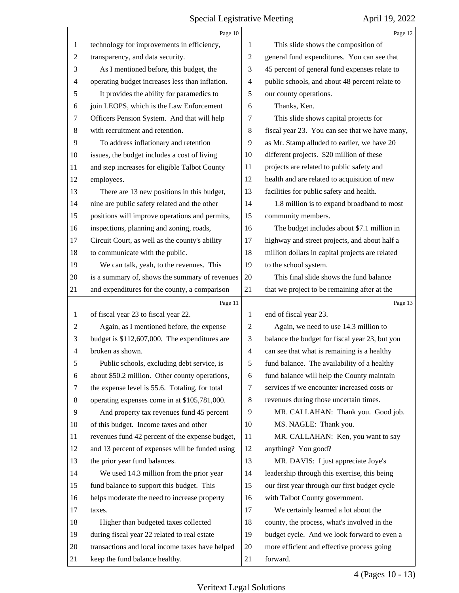<span id="page-3-0"></span>

|                | Page 10                                         |                          | Page 12                                         |
|----------------|-------------------------------------------------|--------------------------|-------------------------------------------------|
| 1              | technology for improvements in efficiency,      | 1                        | This slide shows the composition of             |
| $\overline{c}$ | transparency, and data security.                | $\mathfrak{2}$           | general fund expenditures. You can see that     |
| 3              | As I mentioned before, this budget, the         | 3                        | 45 percent of general fund expenses relate to   |
| 4              | operating budget increases less than inflation. | 4                        | public schools, and about 48 percent relate to  |
| 5              | It provides the ability for paramedics to       | 5                        | our county operations.                          |
| 6              | join LEOPS, which is the Law Enforcement        | 6                        | Thanks, Ken.                                    |
| 7              | Officers Pension System. And that will help     | 7                        | This slide shows capital projects for           |
| 8              | with recruitment and retention.                 | 8                        | fiscal year 23. You can see that we have many,  |
| 9              | To address inflationary and retention           | 9                        | as Mr. Stamp alluded to earlier, we have 20     |
| 10             | issues, the budget includes a cost of living    | 10                       | different projects. \$20 million of these       |
| 11             | and step increases for eligible Talbot County   | 11                       | projects are related to public safety and       |
| 12             | employees.                                      | 12                       | health and are related to acquisition of new    |
| 13             | There are 13 new positions in this budget,      | 13                       | facilities for public safety and health.        |
| 14             | nine are public safety related and the other    | 14                       | 1.8 million is to expand broadband to most      |
| 15             | positions will improve operations and permits,  | 15                       | community members.                              |
| 16             | inspections, planning and zoning, roads,        | 16                       | The budget includes about \$7.1 million in      |
| 17             | Circuit Court, as well as the county's ability  | 17                       | highway and street projects, and about half a   |
| 18             | to communicate with the public.                 | 18                       | million dollars in capital projects are related |
| 19             | We can talk, yeah, to the revenues. This        | 19                       | to the school system.                           |
| 20             | is a summary of, shows the summary of revenues  | 20                       | This final slide shows the fund balance         |
| 21             | and expenditures for the county, a comparison   | 21                       | that we project to be remaining after at the    |
|                | Page 11                                         |                          | Page 13                                         |
| 1              | of fiscal year 23 to fiscal year 22.            | 1                        | end of fiscal year 23.                          |
|                |                                                 |                          |                                                 |
| $\overline{c}$ | Again, as I mentioned before, the expense       | $\overline{c}$           | Again, we need to use 14.3 million to           |
| 3              | budget is \$112,607,000. The expenditures are   | 3                        | balance the budget for fiscal year 23, but you  |
| 4              | broken as shown.                                | $\overline{\mathcal{A}}$ | can see that what is remaining is a healthy     |
| Ć              | Public schools, excluding debt service, is      | 5                        | fund balance. The availability of a healthy     |
| 6              | about \$50.2 million. Other county operations,  | 6                        | fund balance will help the County maintain      |
| 7              | the expense level is 55.6. Totaling, for total  | 7                        | services if we encounter increased costs or     |
| 8              | operating expenses come in at \$105,781,000.    | 8                        | revenues during those uncertain times.          |
| 9              | And property tax revenues fund 45 percent       | 9                        | MR. CALLAHAN: Thank you. Good job.              |
| 10             | of this budget. Income taxes and other          | 10                       | MS. NAGLE: Thank you.                           |
| 11             | revenues fund 42 percent of the expense budget, | 11                       | MR. CALLAHAN: Ken, you want to say              |
| 12             | and 13 percent of expenses will be funded using | 12                       | anything? You good?                             |
| 13             | the prior year fund balances.                   | 13                       | MR. DAVIS: I just appreciate Joye's             |
| 14             | We used 14.3 million from the prior year        | 14                       | leadership through this exercise, this being    |
| 15             | fund balance to support this budget. This       | 15                       | our first year through our first budget cycle   |
| 16             | helps moderate the need to increase property    | 16                       | with Talbot County government.                  |
| 17             | taxes.                                          | 17                       | We certainly learned a lot about the            |
| 18             | Higher than budgeted taxes collected            | 18                       | county, the process, what's involved in the     |
| 19             | during fiscal year 22 related to real estate    | 19                       | budget cycle. And we look forward to even a     |
| 20             | transactions and local income taxes have helped | 20                       | more efficient and effective process going      |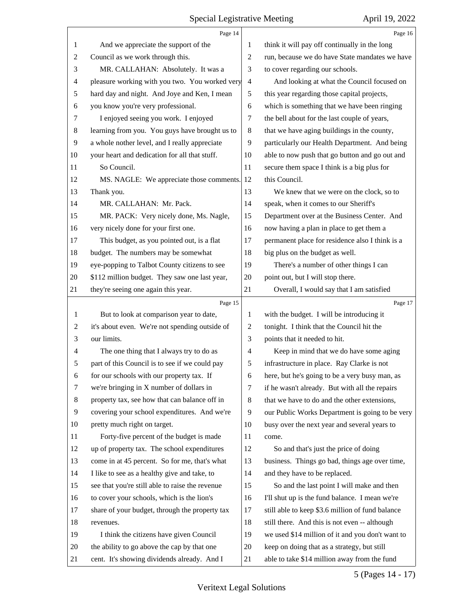<span id="page-4-0"></span>

|    | Page 14                                         |                | Page 16                                          |
|----|-------------------------------------------------|----------------|--------------------------------------------------|
| 1  | And we appreciate the support of the            | 1              | think it will pay off continually in the long    |
| 2  | Council as we work through this.                | $\overline{2}$ | run, because we do have State mandates we have   |
| 3  | MR. CALLAHAN: Absolutely. It was a              | 3              | to cover regarding our schools.                  |
| 4  | pleasure working with you two. You worked very  | $\overline{4}$ | And looking at what the Council focused on       |
| 5  | hard day and night. And Joye and Ken, I mean    | 5              | this year regarding those capital projects,      |
| 6  | you know you're very professional.              | 6              | which is something that we have been ringing     |
| 7  | I enjoyed seeing you work. I enjoyed            | 7              | the bell about for the last couple of years,     |
| 8  | learning from you. You guys have brought us to  | $\,8\,$        | that we have aging buildings in the county,      |
| 9  | a whole nother level, and I really appreciate   | 9              | particularly our Health Department. And being    |
| 10 | your heart and dedication for all that stuff.   | 10             | able to now push that go button and go out and   |
| 11 | So Council.                                     | 11             | secure them space I think is a big plus for      |
| 12 | MS. NAGLE: We appreciate those comments.        | 12             | this Council.                                    |
| 13 | Thank you.                                      | 13             | We knew that we were on the clock, so to         |
| 14 | MR. CALLAHAN: Mr. Pack.                         | 14             | speak, when it comes to our Sheriff's            |
| 15 | MR. PACK: Very nicely done, Ms. Nagle,          | 15             | Department over at the Business Center. And      |
| 16 | very nicely done for your first one.            | 16             | now having a plan in place to get them a         |
| 17 | This budget, as you pointed out, is a flat      | 17             | permanent place for residence also I think is a  |
| 18 | budget. The numbers may be somewhat             | 18             | big plus on the budget as well.                  |
| 19 | eye-popping to Talbot County citizens to see    | 19             | There's a number of other things I can           |
| 20 | \$112 million budget. They saw one last year,   | 20             | point out, but I will stop there.                |
| 21 | they're seeing one again this year.             | 21             | Overall, I would say that I am satisfied         |
|    |                                                 |                |                                                  |
|    | Page 15                                         |                | Page 17                                          |
| 1  | But to look at comparison year to date,         | $\mathbf{1}$   | with the budget. I will be introducing it        |
| 2  | it's about even. We're not spending outside of  | $\overline{c}$ | tonight. I think that the Council hit the        |
| 3  | our limits.                                     | 3              | points that it needed to hit.                    |
| 4  | The one thing that I always try to do as        | $\overline{4}$ | Keep in mind that we do have some aging          |
| 5  | part of this Council is to see if we could pay  | 5              | infrastructure in place. Ray Clarke is not       |
| 6  | for our schools with our property tax. If       | 6              | here, but he's going to be a very busy man, as   |
| 7  | we're bringing in X number of dollars in        | 7              | if he wasn't already. But with all the repairs   |
| 8  | property tax, see how that can balance off in   | 8              | that we have to do and the other extensions,     |
| 9  | covering your school expenditures. And we're    | 9              | our Public Works Department is going to be very  |
| 10 | pretty much right on target.                    | 10             | busy over the next year and several years to     |
| 11 | Forty-five percent of the budget is made        | 11             | come.                                            |
| 12 | up of property tax. The school expenditures     | 12             | So and that's just the price of doing            |
| 13 | come in at 45 percent. So for me, that's what   | 13             | business. Things go bad, things age over time,   |
| 14 | I like to see as a healthy give and take, to    | 14             | and they have to be replaced.                    |
| 15 | see that you're still able to raise the revenue | 15             | So and the last point I will make and then       |
| 16 | to cover your schools, which is the lion's      | 16             | I'll shut up is the fund balance. I mean we're   |
| 17 | share of your budget, through the property tax  | 17             | still able to keep \$3.6 million of fund balance |
| 18 | revenues.                                       | 18             | still there. And this is not even -- although    |
| 19 | I think the citizens have given Council         | 19             | we used \$14 million of it and you don't want to |
| 20 | the ability to go above the cap by that one     | 20             | keep on doing that as a strategy, but still      |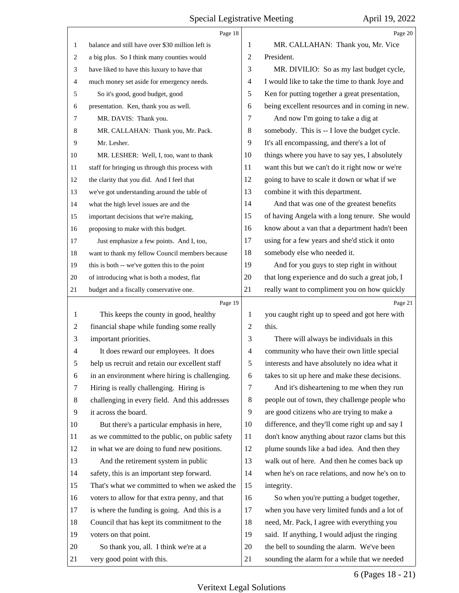<span id="page-5-0"></span>

|        | Page 18                                          |                | Page 20                                                                                     |
|--------|--------------------------------------------------|----------------|---------------------------------------------------------------------------------------------|
| 1      | balance and still have over \$30 million left is | 1              | MR. CALLAHAN: Thank you, Mr. Vice                                                           |
| 2      | a big plus. So I think many counties would       | 2              | President.                                                                                  |
| 3      | have liked to have this luxury to have that      | 3              | MR. DIVILIO: So as my last budget cycle,                                                    |
| 4      | much money set aside for emergency needs.        | 4              | I would like to take the time to thank Joye and                                             |
| 5      | So it's good, good budget, good                  | 5              | Ken for putting together a great presentation,                                              |
| 6      | presentation. Ken, thank you as well.            | 6              | being excellent resources and in coming in new.                                             |
| 7      | MR. DAVIS: Thank you.                            | 7              | And now I'm going to take a dig at                                                          |
| 8      | MR. CALLAHAN: Thank you, Mr. Pack.               | 8              | somebody. This is -- I love the budget cycle.                                               |
| 9      | Mr. Lesher.                                      | 9              | It's all encompassing, and there's a lot of                                                 |
| 10     | MR. LESHER: Well, I, too, want to thank          | 10             | things where you have to say yes, I absolutely                                              |
| 11     | staff for bringing us through this process with  | 11             | want this but we can't do it right now or we're                                             |
| 12     | the clarity that you did. And I feel that        | 12             | going to have to scale it down or what if we                                                |
| 13     | we've got understanding around the table of      | 13             | combine it with this department.                                                            |
| 14     | what the high level issues are and the           | 14             | And that was one of the greatest benefits                                                   |
| 15     | important decisions that we're making,           | 15             | of having Angela with a long tenure. She would                                              |
| 16     | proposing to make with this budget.              | 16             | know about a van that a department hadn't been                                              |
| 17     | Just emphasize a few points. And I, too,         | 17             | using for a few years and she'd stick it onto                                               |
| $18\,$ | want to thank my fellow Council members because  | 18             | somebody else who needed it.                                                                |
| 19     | this is both -- we've gotten this to the point   | 19             | And for you guys to step right in without                                                   |
| 20     | of introducing what is both a modest, flat       | 20             | that long experience and do such a great job, I                                             |
| 21     | budget and a fiscally conservative one.          | 21             | really want to compliment you on how quickly                                                |
|        | Page 19                                          |                | Page 21                                                                                     |
|        |                                                  |                |                                                                                             |
| 1      | This keeps the county in good, healthy           | 1              | you caught right up to speed and got here with                                              |
| 2      | financial shape while funding some really        | $\overline{c}$ | this.                                                                                       |
| 3      | important priorities.                            | 3              | There will always be individuals in this                                                    |
| 4      | It does reward our employees. It does            | $\overline{4}$ | community who have their own little special                                                 |
|        | help us recruit and retain our excellent staff   | 5              | interests and have absolutely no idea what it                                               |
| 6      | in an environment where hiring is challenging.   | 6              | takes to sit up here and make these decisions.                                              |
| 7      | Hiring is really challenging. Hiring is          | $\tau$         | And it's disheartening to me when they run                                                  |
| 8      | challenging in every field. And this addresses   | 8              | people out of town, they challenge people who                                               |
| 9      | it across the board.                             | 9              | are good citizens who are trying to make a                                                  |
| 10     | But there's a particular emphasis in here,       | 10             | difference, and they'll come right up and say I                                             |
| 11     | as we committed to the public, on public safety  | 11             | don't know anything about razor clams but this                                              |
| 12     | in what we are doing to fund new positions.      | 12             | plume sounds like a bad idea. And then they                                                 |
| 13     | And the retirement system in public              | 13             | walk out of here. And then he comes back up                                                 |
| 14     | safety, this is an important step forward.       | 14             | when he's on race relations, and now he's on to                                             |
| 15     | That's what we committed to when we asked the    | 15             | integrity.                                                                                  |
| 16     | voters to allow for that extra penny, and that   | 16             | So when you're putting a budget together,                                                   |
| 17     | is where the funding is going. And this is a     | 17             | when you have very limited funds and a lot of                                               |
| 18     | Council that has kept its commitment to the      | 18             | need, Mr. Pack, I agree with everything you                                                 |
| 19     | voters on that point.                            | 19             | said. If anything, I would adjust the ringing                                               |
| 20     | So thank you, all. I think we're at a            | 20             | the bell to sounding the alarm. We've been<br>sounding the alarm for a while that we needed |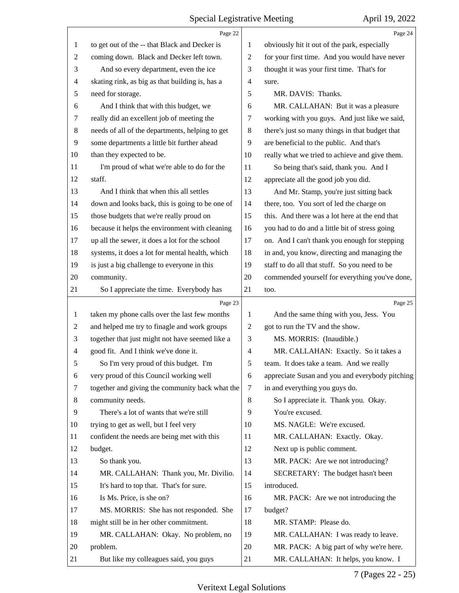<span id="page-6-0"></span>

|                | Page 22                                         |                | Page 24                                         |
|----------------|-------------------------------------------------|----------------|-------------------------------------------------|
| 1              | to get out of the -- that Black and Decker is   | 1              | obviously hit it out of the park, especially    |
| $\overline{c}$ | coming down. Black and Decker left town.        | $\overline{c}$ | for your first time. And you would have never   |
| 3              | And so every department, even the ice           | 3              | thought it was your first time. That's for      |
| 4              | skating rink, as big as that building is, has a | 4              | sure.                                           |
| 5              | need for storage.                               | 5              | MR. DAVIS: Thanks.                              |
| 6              | And I think that with this budget, we           | 6              | MR. CALLAHAN: But it was a pleasure             |
| 7              | really did an excellent job of meeting the      | 7              | working with you guys. And just like we said,   |
| $\,8\,$        | needs of all of the departments, helping to get | 8              | there's just so many things in that budget that |
| 9              | some departments a little bit further ahead     | 9              | are beneficial to the public. And that's        |
| 10             | than they expected to be.                       | 10             | really what we tried to achieve and give them.  |
| 11             | I'm proud of what we're able to do for the      | 11             | So being that's said, thank you. And I          |
| 12             | staff.                                          | 12             | appreciate all the good job you did.            |
| 13             | And I think that when this all settles          | 13             | And Mr. Stamp, you're just sitting back         |
| 14             | down and looks back, this is going to be one of | 14             | there, too. You sort of led the charge on       |
| 15             | those budgets that we're really proud on        | 15             | this. And there was a lot here at the end that  |
| 16             | because it helps the environment with cleaning  | 16             | you had to do and a little bit of stress going  |
| 17             | up all the sewer, it does a lot for the school  | 17             | on. And I can't thank you enough for stepping   |
| 18             | systems, it does a lot for mental health, which | 18             | in and, you know, directing and managing the    |
| 19             | is just a big challenge to everyone in this     | 19             | staff to do all that stuff. So you need to be   |
| 20             | community.                                      | 20             | commended yourself for everything you've done,  |
| 21             | So I appreciate the time. Everybody has         | 21             | too.                                            |
|                |                                                 |                |                                                 |
|                | Page 23                                         |                | Page 25                                         |
| 1              | taken my phone calls over the last few months   | 1              | And the same thing with you, Jess. You          |
| $\overline{c}$ | and helped me try to finagle and work groups    | $\overline{2}$ | got to run the TV and the show.                 |
| 3              | together that just might not have seemed like a | 3              | MS. MORRIS: (Inaudible.)                        |
| $\overline{4}$ | good fit. And I think we've done it.            | 4              | MR. CALLAHAN: Exactly. So it takes a            |
| 5              | So I'm very proud of this budget. I'm           | 5              | team. It does take a team. And we really        |
| 6              | very proud of this Council working well         | 6              | appreciate Susan and you and everybody pitching |
| 7              | together and giving the community back what the | 7              | in and everything you guys do.                  |
| 8              | community needs.                                | 8              | So I appreciate it. Thank you. Okay.            |
| 9              | There's a lot of wants that we're still         | 9              | You're excused.                                 |
| 10             | trying to get as well, but I feel very          | 10             | MS. NAGLE: We're excused.                       |
| 11             | confident the needs are being met with this     | 11             | MR. CALLAHAN: Exactly. Okay.                    |
| 12             | budget.                                         | 12             | Next up is public comment.                      |
| 13             | So thank you.                                   | 13             | MR. PACK: Are we not introducing?               |
| 14             | MR. CALLAHAN: Thank you, Mr. Divilio.           | 14             | SECRETARY: The budget hasn't been               |
| 15             | It's hard to top that. That's for sure.         | 15             | introduced.                                     |
| 16             | Is Ms. Price, is she on?                        | 16             | MR. PACK: Are we not introducing the            |
| 17             | MS. MORRIS: She has not responded. She          | 17             | budget?                                         |
| 18             | might still be in her other commitment.         | 18             | MR. STAMP: Please do.                           |
| 19             | MR. CALLAHAN: Okay. No problem, no              | 19             | MR. CALLAHAN: I was ready to leave.             |
| 20             | problem.                                        | 20             | MR. PACK: A big part of why we're here.         |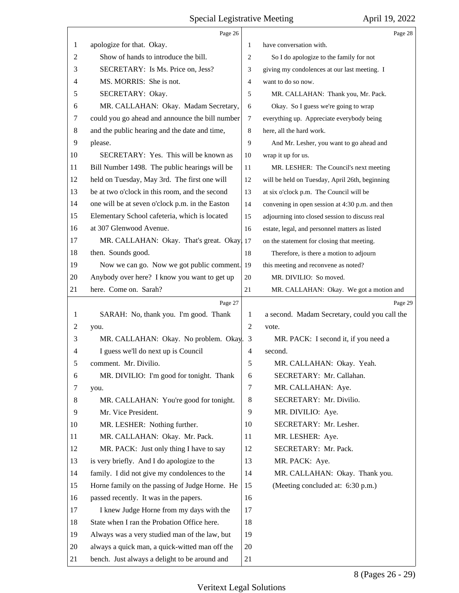<span id="page-7-0"></span>

|                | Page 26                                         |                | Page 28                                         |
|----------------|-------------------------------------------------|----------------|-------------------------------------------------|
| 1              | apologize for that. Okay.                       | 1              | have conversation with.                         |
| $\overline{2}$ | Show of hands to introduce the bill.            | 2              | So I do apologize to the family for not         |
| 3              | SECRETARY: Is Ms. Price on, Jess?               | 3              | giving my condolences at our last meeting. I    |
| 4              | MS. MORRIS: She is not.                         | $\overline{4}$ | want to do so now.                              |
| 5              | SECRETARY: Okay.                                | 5              | MR. CALLAHAN: Thank you, Mr. Pack.              |
| 6              | MR. CALLAHAN: Okay. Madam Secretary,            | 6              | Okay. So I guess we're going to wrap            |
| 7              | could you go ahead and announce the bill number | $\tau$         | everything up. Appreciate everybody being       |
| 8              | and the public hearing and the date and time,   | 8              | here, all the hard work.                        |
| 9              | please.                                         | 9              | And Mr. Lesher, you want to go ahead and        |
| 10             | SECRETARY: Yes. This will be known as           | 10             | wrap it up for us.                              |
| 11             | Bill Number 1498. The public hearings will be   | 11             | MR. LESHER: The Council's next meeting          |
| 12             | held on Tuesday, May 3rd. The first one will    | 12             | will be held on Tuesday, April 26th, beginning  |
| 13             | be at two o'clock in this room, and the second  | 13             | at six o'clock p.m. The Council will be         |
| 14             | one will be at seven o'clock p.m. in the Easton | 14             | convening in open session at 4:30 p.m. and then |
| 15             | Elementary School cafeteria, which is located   | 15             | adjourning into closed session to discuss real  |
| 16             | at 307 Glenwood Avenue.                         | 16             | estate, legal, and personnel matters as listed  |
| 17             | MR. CALLAHAN: Okay. That's great. Okay, 17      |                | on the statement for closing that meeting.      |
| 18             | then. Sounds good.                              | 18             | Therefore, is there a motion to adjourn         |
| 19             | Now we can go. Now we got public comment.       | 19             | this meeting and reconvene as noted?            |
| 20             | Anybody over here? I know you want to get up    | 20             | MR. DIVILIO: So moved.                          |
| 21             | here. Come on. Sarah?                           | 21             | MR. CALLAHAN: Okay. We got a motion and         |
|                |                                                 |                |                                                 |
|                | Page 27                                         |                | Page 29                                         |
| 1              | SARAH: No, thank you. I'm good. Thank           | 1              | a second. Madam Secretary, could you call the   |
| 2              | you.                                            | $\overline{2}$ | vote.                                           |
| 3              | MR. CALLAHAN: Okay. No problem. Okay.           | 3              | MR. PACK: I second it, if you need a            |
| 4              | I guess we'll do next up is Council             | $\overline{4}$ | second.                                         |
| 5              | comment. Mr. Divilio.                           | 5              | MR. CALLAHAN: Okay. Yeah.                       |
| 6              | MR. DIVILIO: I'm good for tonight. Thank        | 6              | SECRETARY: Mr. Callahan.                        |
| 7              | you.                                            | $\tau$         | MR. CALLAHAN: Aye.                              |
| 8              | MR. CALLAHAN: You're good for tonight.          | $\,8\,$        | SECRETARY: Mr. Divilio.                         |
| 9              | Mr. Vice President.                             | 9              | MR. DIVILIO: Aye.                               |
| 10             | MR. LESHER: Nothing further.                    | 10             | SECRETARY: Mr. Lesher.                          |
| 11             | MR. CALLAHAN: Okay. Mr. Pack.                   | 11             | MR. LESHER: Aye.                                |
| 12             | MR. PACK: Just only thing I have to say         | 12             | SECRETARY: Mr. Pack.                            |
| 13             | is very briefly. And I do apologize to the      | 13             | MR. PACK: Aye.                                  |
| 14             | family. I did not give my condolences to the    | 14             | MR. CALLAHAN: Okay. Thank you.                  |
| 15             | Horne family on the passing of Judge Horne. He  | 15             | (Meeting concluded at: 6:30 p.m.)               |
| 16             | passed recently. It was in the papers.          | 16             |                                                 |
| 17             | I knew Judge Horne from my days with the        | 17             |                                                 |
| 18             | State when I ran the Probation Office here.     | 18             |                                                 |
| 19             | Always was a very studied man of the law, but   | 19             |                                                 |
| 20             | always a quick man, a quick-witted man off the  | 20             |                                                 |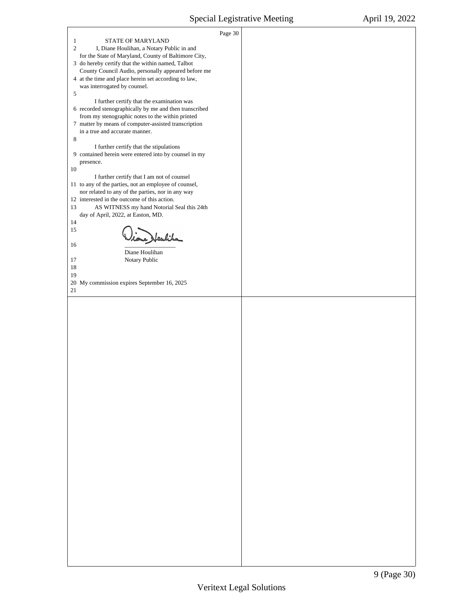<span id="page-8-0"></span>Л

 $\overline{\phantom{a}}$ 

|                                                                                                          | Page 30 |  |
|----------------------------------------------------------------------------------------------------------|---------|--|
| STATE OF MARYLAND<br>$\mathbf{1}$                                                                        |         |  |
| $\overline{c}$<br>I, Diane Houlihan, a Notary Public in and                                              |         |  |
| for the State of Maryland, County of Baltimore City,                                                     |         |  |
| 3 do hereby certify that the within named, Talbot                                                        |         |  |
| County Council Audio, personally appeared before me                                                      |         |  |
| 4 at the time and place herein set according to law,                                                     |         |  |
| was interrogated by counsel.                                                                             |         |  |
| 5                                                                                                        |         |  |
| I further certify that the examination was                                                               |         |  |
| 6 recorded stenographically by me and then transcribed                                                   |         |  |
| from my stenographic notes to the within printed<br>7 matter by means of computer-assisted transcription |         |  |
| in a true and accurate manner.                                                                           |         |  |
| 8                                                                                                        |         |  |
| I further certify that the stipulations                                                                  |         |  |
| 9 contained herein were entered into by counsel in my                                                    |         |  |
| presence.                                                                                                |         |  |
| 10                                                                                                       |         |  |
| I further certify that I am not of counsel                                                               |         |  |
| 11 to any of the parties, not an employee of counsel,                                                    |         |  |
| nor related to any of the parties, nor in any way                                                        |         |  |
| 12 interested in the outcome of this action.                                                             |         |  |
| AS WITNESS my hand Notorial Seal this 24th<br>13                                                         |         |  |
| day of April, 2022, at Easton, MD.<br>14                                                                 |         |  |
| 15                                                                                                       |         |  |
| ione Heuliks                                                                                             |         |  |
| 16                                                                                                       |         |  |
| Diane Houlihan                                                                                           |         |  |
| 17<br>Notary Public                                                                                      |         |  |
| 18                                                                                                       |         |  |
| 19                                                                                                       |         |  |
| 20 My commission expires September 16, 2025                                                              |         |  |
| 21                                                                                                       |         |  |
|                                                                                                          |         |  |
|                                                                                                          |         |  |
|                                                                                                          |         |  |
|                                                                                                          |         |  |
|                                                                                                          |         |  |
|                                                                                                          |         |  |
|                                                                                                          |         |  |
|                                                                                                          |         |  |
|                                                                                                          |         |  |
|                                                                                                          |         |  |
|                                                                                                          |         |  |
|                                                                                                          |         |  |
|                                                                                                          |         |  |
|                                                                                                          |         |  |
|                                                                                                          |         |  |
|                                                                                                          |         |  |
|                                                                                                          |         |  |
|                                                                                                          |         |  |
|                                                                                                          |         |  |
|                                                                                                          |         |  |
|                                                                                                          |         |  |
|                                                                                                          |         |  |
|                                                                                                          |         |  |
|                                                                                                          |         |  |
|                                                                                                          |         |  |
|                                                                                                          |         |  |
|                                                                                                          |         |  |
|                                                                                                          |         |  |
|                                                                                                          |         |  |
|                                                                                                          |         |  |
|                                                                                                          |         |  |
|                                                                                                          |         |  |
|                                                                                                          |         |  |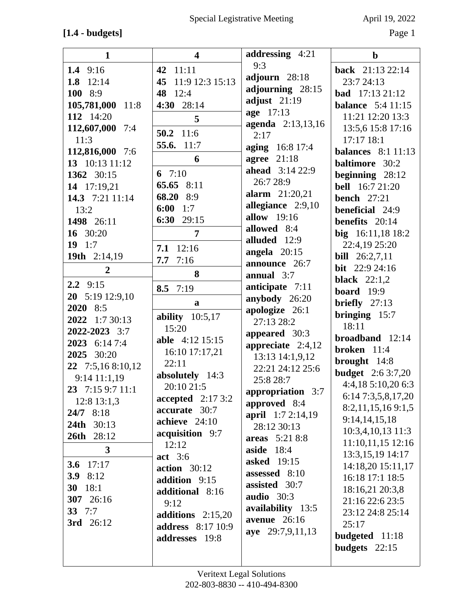## **[1.4 - budgets]** Page 1

| $\mathbf{1}$      | $\overline{\mathbf{4}}$          | addressing 4:21            | $\mathbf b$                             |
|-------------------|----------------------------------|----------------------------|-----------------------------------------|
| 1.4 $9:16$        | 42 11:11                         | 9:3                        | back 21:13 22:14                        |
| 1.8 $12:14$       | 45 11:9 12:3 15:13               | adjourn 28:18              | 23:7 24:13                              |
| 100 8:9           | 48 12:4                          | adjourning 28:15           | <b>bad</b> $17:13\ 21:12$               |
| 105,781,000 11:8  | 4:30 28:14                       | adjust $21:19$             | <b>balance</b> 5:4 11:15                |
| 112 14:20         | 5                                | age 17:13                  | 11:21 12:20 13:3                        |
| 112,607,000 7:4   | 50.2 11:6                        | agenda 2:13,13,16          | 13:5,6 15:8 17:16                       |
| 11:3              | 55.6. 11:7                       | 2:17                       | 17:17 18:1                              |
| 112,816,000 7:6   |                                  | aging 16:8 17:4            | <b>balances</b> 8:1 11:13               |
| 13 10:13 11:12    | 6                                | agree $21:18$              | <b>baltimore</b> 30:2                   |
| 1362 30:15        | 6 $7:10$                         | <b>ahead</b> 3:14 22:9     | beginning $28:12$                       |
| 14 17:19,21       | 65.65 8:11                       | 26:7 28:9                  | <b>bell</b> 16:7 21:20                  |
| 14.3 7:21 11:14   | 68.20 8:9                        | <b>alarm</b> $21:20,21$    | <b>bench</b> 27:21                      |
| 13:2              | 6:00<br>1:7                      | allegiance 2:9,10          | <b>beneficial</b> 24:9                  |
| 1498 26:11        | 6:30 $29:15$                     | allow 19:16<br>allowed 8:4 | benefits 20:14                          |
| 16 30:20          | 7                                | alluded 12:9               | big 16:11,18 18:2                       |
| 19 $1:7$          | $7.1 \t12:16$                    | angela $20:15$             | 22:4,19 25:20                           |
| 19th 2:14,19      | 7:16<br>7.7                      | announce 26:7              | <b>bill</b> 26:2,7,11                   |
| $\overline{2}$    | 8                                | annual $3:7$               | bit $22:924:16$                         |
| $2.2$ 9:15        | 8.5 $7:19$                       | anticipate 7:11            | black $22:1,2$                          |
| 20 5:19 12:9,10   |                                  | anybody 26:20              | <b>board</b> 19:9                       |
| 2020 8:5          | $\mathbf{a}$                     | apologize 26:1             | briefly $27:13$                         |
| 2022 1:7 30:13    | ability $10:5,17$                | 27:13 28:2                 | bringing $15:7$                         |
| 2022-2023 3:7     | 15:20                            | appeared 30:3              | 18:11                                   |
| 2023 6:14 7:4     | <b>able</b> 4:12 15:15           | appreciate $2:4,12$        | broadband $12:14$                       |
| 2025 30:20        | 16:10 17:17,21                   | 13:13 14:1,9,12            | broken $11:4$                           |
| 22 7:5,16 8:10,12 | 22:11                            | 22:21 24:12 25:6           | brought 14:8                            |
| 9:14 11:1,19      | absolutely 14:3                  | 25:8 28:7                  | <b>budget</b> 2:6 3:7,20                |
| 23 7:15 9:7 11:1  | 20:10 21:5                       | appropriation 3:7          | 4:4,18 5:10,20 6:3                      |
| $12:8$ 13:1,3     | accepted $2:173:2$               | approved 8:4               | 6:14 7:3,5,8,17,20<br>8:2,11,15,169:1,5 |
| $24/7$ 8:18       | accurate 30:7                    | <b>april</b> 1:7 2:14,19   | 9:14,14,15,18                           |
| <b>24th</b> 30:13 | achieve 24:10                    | 28:12 30:13                | $10:3,4,10,13$ 11:3                     |
| 26th 28:12        | acquisition 9:7                  | areas 5:21 8:8             | 11:10,11,15 12:16                       |
| $\mathbf{3}$      | 12:12                            | aside $18:4$               | 13:3,15,19 14:17                        |
| 3.6 $17:17$       | act 3:6                          | <b>asked</b> 19:15         | 14:18,20 15:11,17                       |
| 3.9 $8:12$        | action $30:12$                   | assessed 8:10              | 16:18 17:1 18:5                         |
| 30 18:1           | addition 9:15<br>additional 8:16 | assisted 30:7              | 18:16,21 20:3,8                         |
| 307 26:16         | 9:12                             | audio 30:3                 | 21:16 22:6 23:5                         |
| 33 $7:7$          | additions $2:15,20$              | availability 13:5          | 23:12 24:8 25:14                        |
| 3rd 26:12         | <b>address</b> 8:17 10:9         | avenue $26:16$             | 25:17                                   |
|                   | addresses 19:8                   | aye 29:7,9,11,13           | budgeted 11:18                          |
|                   |                                  |                            | budgets 22:15                           |
|                   |                                  |                            |                                         |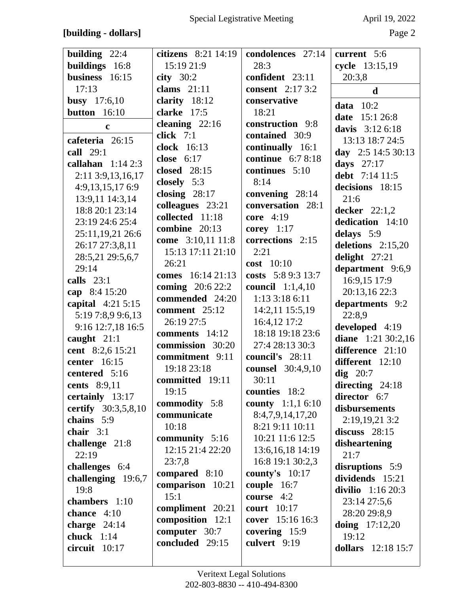## **[building - dollars]** Page 2

| building 22:4       | citizens 8:21 14:19      | condolences 27:14           | current 5:6          |
|---------------------|--------------------------|-----------------------------|----------------------|
| buildings 16:8      | 15:19 21:9               | 28:3                        | cycle 13:15,19       |
| business 16:15      | city $30:2$              | confident 23:11             | 20:3,8               |
| 17:13               | clams $21:11$            | <b>consent</b> 2:17 3:2     | $\mathbf d$          |
| <b>busy</b> 17:6,10 | clarity 18:12            | conservative                | data $10:2$          |
| button 16:10        | clarke 17:5              | 18:21                       | date<br>15:1 26:8    |
| $\mathbf c$         | cleaning $22:16$         | construction 9:8            | davis $3:126:18$     |
| cafeteria 26:15     | click $7:1$              | contained 30:9              | 13:13 18:7 24:5      |
| call 29:1           | clock 16:13              | continually 16:1            | day $2:5$ 14:5 30:13 |
| callahan $1:142:3$  | close $6:17$             | continue $6:78:18$          | days $27:17$         |
|                     | closed 28:15             | continues 5:10              | debt 7:14 11:5       |
| 2:11 3:9,13,16,17   | closely 5:3              | 8:14                        | decisions 18:15      |
| 4:9,13,15,17 6:9    | closing $28:17$          | convening 28:14             |                      |
| 13:9,11 14:3,14     | colleagues 23:21         | conversation 28:1           | 21:6                 |
| 18:8 20:1 23:14     | collected 11:18          | core 4:19                   | decker $22:1,2$      |
| 23:19 24:6 25:4     | combine 20:13            | corey $1:17$                | dedication 14:10     |
| 25:11,19,21 26:6    | come 3:10,11 11:8        | corrections 2:15            | delays 5:9           |
| 26:17 27:3,8,11     | 15:13 17:11 21:10        | 2:21                        | deletions 2:15,20    |
| 28:5,21 29:5,6,7    | 26:21                    | $cost$ 10:10                | delight 27:21        |
| 29:14               | comes 16:14 21:13        | costs 5:8 9:3 13:7          | department 9:6,9     |
| calls $23:1$        | <b>coming</b> $20:622:2$ | <b>council</b> 1:1,4,10     | 16:9,15 17:9         |
| cap 8:4 15:20       | commended 24:20          | $1:13$ 3:18 6:11            | 20:13,16 22:3        |
| capital $4:215:15$  | comment 25:12            | 14:2,11 15:5,19             | departments 9:2      |
| 5:19 7:8,9 9:6,13   | 26:19 27:5               | 16:4,12 17:2                | 22:8,9               |
| 9:16 12:7,18 16:5   | comments 14:12           | 18:18 19:18 23:6            | developed 4:19       |
| caught 21:1         | commission 30:20         | 27:4 28:13 30:3             | diane 1:21 30:2,16   |
| cent 8:2,6 15:21    | commitment 9:11          | council's 28:11             | difference 21:10     |
| center 16:15        | 19:18 23:18              | counsel 30:4,9,10           | different 12:10      |
| centered 5:16       | committed 19:11          | 30:11                       | dig $20:7$           |
| cents 8:9,11        | 19:15                    | counties 18:2               | directing 24:18      |
| certainly 13:17     | commodity 5:8            | county 1:1,1 6:10           | director 6:7         |
| certify 30:3,5,8,10 | communicate              | 8:4,7,9,14,17,20            | disbursements        |
| chains 5:9          | 10:18                    | 8:21 9:11 10:11             | 2:19,19,21 3:2       |
| chair $3:1$         | community 5:16           | 10:21 11:6 12:5             | discuss $28:15$      |
| challenge 21:8      | 12:15 21:4 22:20         | 13:6, 16, 18 14:19          | disheartening        |
| 22:19               | 23:7,8                   | 16:8 19:1 30:2,3            | 21:7                 |
| challenges 6:4      | compared 8:10            | county's $10:17$            | disruptions 5:9      |
| challenging 19:6,7  |                          |                             | dividends 15:21      |
| 19:8                | comparison 10:21<br>15:1 | couple 16:7<br>course $4:2$ | divilio $1:1620:3$   |
| chambers 1:10       |                          | <b>court</b> 10:17          | 23:14 27:5,6         |
| chance 4:10         | compliment 20:21         | cover 15:16 16:3            | 28:20 29:8,9         |
| charge $24:14$      | composition 12:1         |                             | doing $17:12,20$     |
| chuck $1:14$        | computer 30:7            | covering 15:9               | 19:12                |
| circuit 10:17       | concluded 29:15          | culvert 9:19                | dollars 12:18 15:7   |
|                     |                          |                             |                      |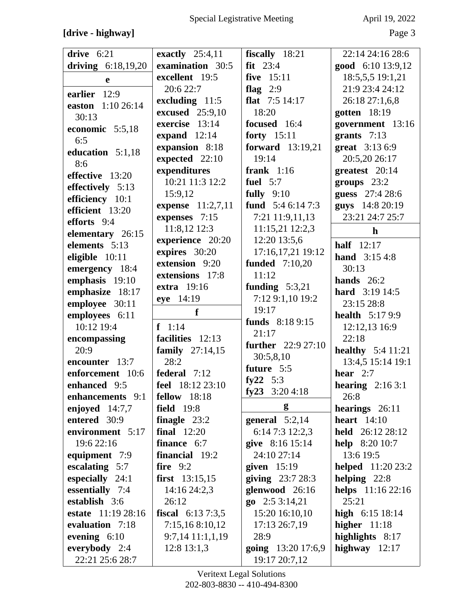## **[drive - highway]** Page 3

| drive $6:21$         | exactly $25:4,11$         | fiscally 18:21            | 22:14 24:16 28:6           |
|----------------------|---------------------------|---------------------------|----------------------------|
| driving $6:18,19,20$ | examination 30:5          | $fit$ 23:4                | good 6:10 13:9,12          |
| e                    | excellent 19:5            | five 15:11                | 18:5,5,5 19:1,21           |
| earlier 12:9         | 20:6 22:7                 | flag $2:9$                | 21:9 23:4 24:12            |
|                      | excluding 11:5            | flat $7:5$ 14:17          | 26:18 27:1,6,8             |
| easton 1:10 26:14    | <b>excused</b> 25:9,10    | 18:20                     | gotten 18:19               |
| 30:13                | exercise 13:14            | focused 16:4              | government 13:16           |
| economic 5:5,18      | expand $12:14$            | forty 15:11               | grants $7:13$              |
| 6:5                  | expansion 8:18            | <b>forward</b> 13:19,21   | great 3:13 6:9             |
| education 5:1,18     | expected 22:10            | 19:14                     | 20:5,20 26:17              |
| 8:6                  | expenditures              | frank $1:16$              | greatest 20:14             |
| effective 13:20      | 10:21 11:3 12:2           | fuel $5:7$                | groups $23:2$              |
| effectively 5:13     | 15:9,12                   | fully $9:10$              | guess 27:4 28:6            |
| efficiency 10:1      | expense 11:2,7,11         | fund $5:46:147:3$         | guys 14:8 20:19            |
| efficient 13:20      | expenses 7:15             | 7:21 11:9,11,13           | 23:21 24:7 25:7            |
| efforts 9:4          | 11:8,12 12:3              | 11:15,21 12:2,3           | $\mathbf h$                |
| elementary 26:15     | experience 20:20          | 12:20 13:5,6              |                            |
| elements 5:13        | expires 30:20             | 17:16,17,21 19:12         | half $12:17$               |
| eligible 10:11       | extension 9:20            | <b>funded</b> 7:10,20     | <b>hand</b> $3:154:8$      |
| emergency 18:4       | extensions 17:8           | 11:12                     | 30:13                      |
| emphasis 19:10       | <b>extra</b> 19:16        | funding $5:3,21$          | hands $26:2$               |
| emphasize 18:17      | eye 14:19                 | 7:12 9:1,10 19:2          | <b>hard</b> $3:19\,14:5$   |
| employee 30:11       | f                         | 19:17                     | 23:15 28:8                 |
| employees 6:11       |                           |                           | <b>health</b> 5:17 9:9     |
|                      |                           |                           |                            |
| 10:12 19:4           | $f \ 1:14$                | funds 8:18 9:15           | 12:12,13 16:9              |
| encompassing         | facilities 12:13          | 21:17                     | 22:18                      |
| 20:9                 | <b>family</b> $27:14,15$  | <b>further</b> 22:9 27:10 | <b>healthy</b> $5:4$ 11:21 |
| encounter 13:7       | 28:2                      | 30:5,8,10                 | 13:4,5 15:14 19:1          |
| enforcement 10:6     | federal 7:12              | future 5:5                | hear $2:7$                 |
| enhanced 9:5         | feel 18:12 23:10          | fy22 $5:3$                | hearing $2:163:1$          |
| enhancements 9:1     | <b>fellow</b> 18:18       | fy23 3:20 4:18            | 26:8                       |
| enjoyed $14:7,7$     | <b>field</b> 19:8         | g                         | hearings 26:11             |
| entered 30:9         | finagle $23:2$            | general $5:2,14$          | heart $14:10$              |
| environment 5:17     | final $12:20$             | 6:14 7:3 12:2,3           | held 26:12 28:12           |
| 19:6 22:16           | finance 6:7               | give 8:16 15:14           | <b>help</b> $8:2010:7$     |
| equipment 7:9        | financial 19:2            | 24:10 27:14               | 13:6 19:5                  |
| escalating 5:7       | fire $9:2$                | given $15:19$             | <b>helped</b> 11:20 23:2   |
| especially 24:1      | first $13:15,15$          | giving $23:728:3$         | helping $22:8$             |
| essentially 7:4      | 14:16 24:2,3              | glenwood 26:16            | helps 11:16 22:16          |
| establish 3:6        | 26:12                     | $\mathbf{go}$ 2:5 3:14,21 | 25:21                      |
| estate 11:19 28:16   | <b>fiscal</b> $6:137:3,5$ | 15:20 16:10,10            | high $6:15$ 18:14          |
| evaluation 7:18      | 7:15,168:10,12            | 17:13 26:7,19             | higher $11:18$             |
| evening $6:10$       | 9:7,14 11:1,1,19          | 28:9                      | highlights 8:17            |
| everybody 2:4        | $12:8$ 13:1,3             | going 13:20 17:6,9        | highway $12:17$            |

Veritext Legal Solutions 202-803-8830 -- 410-494-8300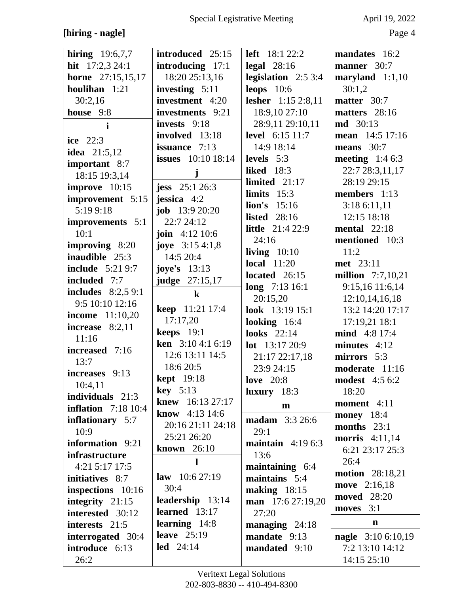## **[hiring - nagle]** Page 4

| <b>hiring</b> $19:6,7,7$   | introduced 25:15           | <b>left</b> $18:122:2$             | mandates 16:2          |
|----------------------------|----------------------------|------------------------------------|------------------------|
| hit $17:2,324:1$           | introducing 17:1           | legal $28:16$                      | manner 30:7            |
| <b>horne</b> 27:15,15,17   | 18:20 25:13,16             | legislation $2:53:4$               | maryland $1:1,10$      |
| houlihan 1:21              | investing 5:11             | leops $10:6$                       | 30:1,2                 |
| 30:2,16                    | investment 4:20            | lesher 1:15 2:8,11                 | matter 30:7            |
| house 9:8                  | investments 9:21           | 18:9,10 27:10                      | matters 28:16          |
| $\mathbf{i}$               | invests 9:18               | 28:9,11 29:10,11                   | <b>md</b> 30:13        |
| ice $22:3$                 | involved 13:18             | <b>level</b> 6:15 11:7             | mean 14:5 17:16        |
| <b>idea</b> 21:5,12        | issuance 7:13              | 14:9 18:14                         | means $30:7$           |
| important 8:7              | <b>issues</b> 10:10 18:14  | levels $5:3$                       | meeting $1:46:3$       |
| 18:15 19:3,14              | j                          | <b>liked</b> 18:3                  | 22:7 28:3,11,17        |
| improve 10:15              | jess $25:126:3$            | limited $21:17$                    | 28:19 29:15            |
| improvement 5:15           | jessica $4:2$              | limits $15:3$                      | members 1:13           |
| 5:19 9:18                  | <b>job</b> $13:920:20$     | $\ln$ 's 15:16                     | 3:18 6:11,11           |
| improvements 5:1           | 22:7 24:12                 | <b>listed</b> 28:16                | 12:15 18:18            |
| 10:1                       | <b>join</b> $4:12 \; 10:6$ | <b>little</b> 21:4 22:9            | mental $22:18$         |
| improving 8:20             | <b>joye</b> $3:154:1,8$    | 24:16                              | mentioned 10:3         |
| <b>inaudible</b> 25:3      | 14:5 20:4                  | living $10:10$                     | 11:2                   |
| <b>include</b> 5:21 9:7    | joye's $13:13$             | local $11:20$                      | met 23:11              |
| included 7:7               | <b>judge</b> 27:15,17      | located $26:15$                    | million $7:7,10,21$    |
| includes $8:2,59:1$        |                            | long $7:1316:1$                    | 9:15,16 11:6,14        |
| 9:5 10:10 12:16            | $\bf k$                    | 20:15,20                           | 12:10,14,16,18         |
| <b>income</b> 11:10,20     | <b>keep</b> 11:21 17:4     | look 13:19 15:1                    | 13:2 14:20 17:17       |
| increase $8:2,11$          | 17:17,20                   | looking $16:4$                     | 17:19,21 18:1          |
| 11:16                      | keeps $19:1$               | <b>looks</b> 22:14                 | <b>mind</b> 4:8 17:4   |
| increased 7:16             | <b>ken</b> $3:104:16:19$   | <b>lot</b> $13:1720:9$             | minutes $4:12$         |
| 13:7                       | 12:6 13:11 14:5            | 21:17 22:17,18                     | mirrors 5:3            |
| increases 9:13             | 18:6 20:5                  | 23:9 24:15                         | moderate 11:16         |
| 10:4,11                    | <b>kept</b> 19:18          | love $20:8$                        | <b>modest</b> 4:5 6:2  |
| individuals 21:3           | $key \quad 5:13$           | $luxury$ 18:3                      | 18:20                  |
| <b>inflation</b> 7:18 10:4 | <b>knew</b> $16:1327:17$   | $\mathbf{m}$                       | moment 4:11            |
| inflationary 5:7           | <b>know</b> 4:13 14:6      | <b>madam</b> 3:3 26:6              | <b>money</b> 18:4      |
| 10:9                       | 20:16 21:11 24:18          | 29:1                               | months $23:1$          |
| information 9:21           | 25:21 26:20                |                                    | <b>morris</b> 4:11,14  |
| infrastructure             | known $26:10$              | maintain $4:196:3$<br>13:6         | 6:21 23:17 25:3        |
| $4:21$ 5:17 17:5           | 1                          |                                    | 26:4                   |
| initiatives 8:7            | law $10:627:19$            | maintaining $6:4$<br>maintains 5:4 | <b>motion</b> 28:18,21 |
|                            | 30:4                       |                                    | move 2:16,18           |
| inspections 10:16          | leadership 13:14           | making $18:15$                     | <b>moved</b> 28:20     |
| integrity 21:15            | learned 13:17              | man 17:6 27:19,20<br>27:20         | moves 3:1              |
| interested 30:12           | learning $14:8$            |                                    | $\mathbf n$            |
| interests 21:5             | leave $25:19$              | managing $24:18$                   |                        |
| interrogated 30:4          | $led$ 24:14                | mandate 9:13                       | nagle 3:10 6:10,19     |
| introduce 6:13             |                            | mandated 9:10                      | 7:2 13:10 14:12        |
| 26:2                       |                            |                                    | 14:15 25:10            |

Veritext Legal Solutions 202-803-8830 -- 410-494-8300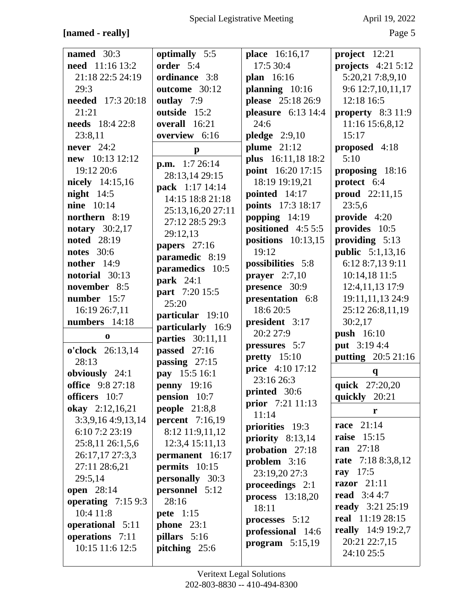## **[named - really]** Page 5

| named $30:3$         | optimally 5:5           | place 16:16,17          | project 12:21             |
|----------------------|-------------------------|-------------------------|---------------------------|
|                      | order 5:4               | 17:5 30:4               |                           |
| need 11:16 13:2      |                         |                         | projects $4:215:12$       |
| 21:18 22:5 24:19     | ordinance 3:8           | plan 16:16              | 5:20,21 7:8,9,10          |
| 29:3                 | outcome 30:12           | planning 10:16          | 9:6 12:7,10,11,17         |
| needed 17:3 20:18    | outlay 7:9              | please 25:18 26:9       | 12:18 16:5                |
|                      |                         |                         |                           |
| 21:21                | outside 15:2            | pleasure 6:13 14:4      | property 8:3 11:9         |
| needs 18:4 22:8      | overall 16:21           | 24:6                    | 11:16 15:6,8,12           |
| 23:8,11              | overview 6:16           | pledge $2:9,10$         | 15:17                     |
| never $24:2$         | $\mathbf{p}$            | plume $21:12$           | proposed 4:18             |
| new 10:13 12:12      |                         | plus 16:11,18 18:2      | 5:10                      |
| 19:12 20:6           | <b>p.m.</b> $1:726:14$  | point 16:20 17:15       | proposing 18:16           |
| nicely 14:15,16      | 28:13,14 29:15          | 18:19 19:19,21          | protect 6:4               |
|                      | pack 1:17 14:14         |                         |                           |
| night $14:5$         | 14:15 18:8 21:18        | pointed 14:17           | proud 22:11,15            |
| <b>nine</b> 10:14    | 25:13,16,20 27:11       | points 17:3 18:17       | 23:5,6                    |
| northern 8:19        | 27:12 28:5 29:3         | popping $14:19$         | provide 4:20              |
| notary $30:2,17$     | 29:12,13                | positioned 4:5 5:5      | provides 10:5             |
| <b>noted</b> 28:19   |                         | positions $10:13,15$    | providing $5:13$          |
| <b>notes</b> 30:6    | papers 27:16            | 19:12                   | <b>public</b> 5:1,13,16   |
| nother $14:9$        | paramedic 8:19          | possibilities 5:8       | 6:12 8:7,13 9:11          |
| notorial 30:13       | paramedics 10:5         |                         | 10:14,18 11:5             |
|                      | <b>park</b> 24:1        | prayer $2:7,10$         |                           |
| november 8:5         | part 7:20 15:5          | presence 30:9           | 12:4,11,13 17:9           |
| number 15:7          | 25:20                   | presentation 6:8        | 19:11,11,13 24:9          |
| 16:19 26:7,11        |                         | 18:6 20:5               | 25:12 26:8,11,19          |
| numbers 14:18        | particular 19:10        | president 3:17          | 30:2,17                   |
|                      | particularly 16:9       | 20:2 27:9               |                           |
| $\bf{0}$             | <b>parties</b> 30:11,11 |                         | <b>push</b> 16:10         |
| o'clock 26:13,14     | passed 27:16            | pressures 5:7           | put 3:19 4:4              |
| 28:13                | passing $27:15$         | pretty 15:10            | <b>putting</b> 20:5 21:16 |
| obviously 24:1       | pay 15:5 16:1           | <b>price</b> 4:10 17:12 | $\mathbf q$               |
| office 9:8 27:18     | penny $19:16$           | 23:16 26:3              | quick 27:20,20            |
| officers 10:7        | pension 10:7            | printed 30:6            | quickly 20:21             |
| okay 2:12,16,21      | people $21:8,8$         | prior 7:21 11:13        | r                         |
| $3:3,9,16$ 4:9,13,14 | percent $7:16,19$       | 11:14                   | <b>race</b> 21:14         |
| 6:10 7:2 23:19       | 8:12 11:9,11,12         | priorities 19:3         |                           |
| 25:8,11 26:1,5,6     | 12:3,4 15:11,13         | priority $8:13,14$      | <b>raise</b> 15:15        |
| 26:17,17 27:3,3      | permanent 16:17         | probation 27:18         | <b>ran</b> 27:18          |
|                      |                         | problem $3:16$          | rate 7:18 8:3,8,12        |
| 27:11 28:6,21        | permits 10:15           | 23:19,20 27:3           | ray $17:5$                |
| 29:5,14              | <b>personally</b> 30:3  |                         | razor $21:11$             |
| <b>open</b> 28:14    | personnel 5:12          | proceedings 2:1         |                           |
| operating $7:159:3$  | 28:16                   | process $13:18,20$      | <b>read</b> $3:44:7$      |
| 10:4 11:8            |                         | 18:11                   | <b>ready</b> 3:21 25:19   |
|                      | <b>pete</b> 1:15        | processes 5:12          | real 11:19 28:15          |
| operational 5:11     | phone $23:1$            | professional 14:6       | <b>really</b> 14:9 19:2,7 |
| operations 7:11      | pillars 5:16            |                         | 20:21 22:7,15             |
| 10:15 11:6 12:5      | pitching $25:6$         | program $5:15,19$       |                           |
|                      |                         |                         | 24:10 25:5                |
|                      |                         |                         |                           |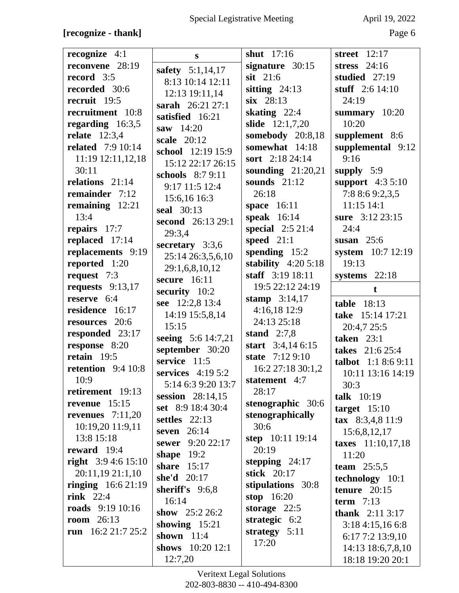#### **[recognize - thank]** Page 6

| recognize $4:1$            | S                                | shut $17:16$            | street 12:17                          |
|----------------------------|----------------------------------|-------------------------|---------------------------------------|
| reconvene 28:19            | safety 5:1,14,17                 | signature $30:15$       | stress $24:16$                        |
| record 3:5                 | 8:13 10:14 12:11                 | $s$ it 21:6             | studied $27:19$                       |
| recorded 30:6              | 12:13 19:11,14                   | sitting $24:13$         | stuff 2:6 14:10                       |
| recruit 19:5               | sarah 26:21 27:1                 | $six$ 28:13             | 24:19                                 |
| recruitment 10:8           | satisfied 16:21                  | skating $22:4$          | summary $10:20$                       |
| regarding $16:3,5$         | saw $14:20$                      | slide 12:1,7,20         | 10:20                                 |
| relate $12:3,4$            |                                  | somebody 20:8,18        | supplement 8:6                        |
| <b>related</b> 7:9 10:14   | scale 20:12<br>school 12:19 15:9 | somewhat 14:18          | supplemental 9:12                     |
| 11:19 12:11,12,18          |                                  | sort $2:18\,24:14$      | 9:16                                  |
| 30:11                      | 15:12 22:17 26:15                | sounding $21:20,21$     | supply 5:9                            |
| relations 21:14            | schools $8:79:11$                | sounds $21:12$          | support 4:3 5:10                      |
| remainder 7:12             | 9:17 11:5 12:4                   | 26:18                   | 7:8 8:6 9:2,3,5                       |
| remaining 12:21            | 15:6,16 16:3                     | space 16:11             | 11:15 14:1                            |
| 13:4                       | <b>seal</b> 30:13                | speak $16:14$           | sure 3:12 23:15                       |
| repairs 17:7               | second 26:13 29:1                | special $2:521:4$       | 24:4                                  |
| replaced 17:14             | 29:3,4                           | speed $21:1$            | susan $25:6$                          |
| replacements 9:19          | secretary $3:3,6$                | spending $15:2$         | system 10:7 12:19                     |
| reported 1:20              | 25:14 26:3,5,6,10                | stability $4:205:18$    | 19:13                                 |
|                            | 29:1,6,8,10,12                   | staff 3:19 18:11        |                                       |
| request 7:3                | secure $16:11$                   | 19:5 22:12 24:19        | systems 22:18                         |
| requests $9:13,17$         | security 10:2                    |                         | $\mathbf t$                           |
| reserve 6:4                | see 12:2,8 13:4                  | stamp $3:14,17$         | <b>table</b> 18:13                    |
| residence 16:17            | 14:19 15:5,8,14                  | 4:16,18 12:9            | take 15:14 17:21                      |
| resources 20:6             | 15:15                            | 24:13 25:18             | 20:4,7 25:5                           |
| responded 23:17            | seeing 5:6 14:7,21               | stand $2:7,8$           | taken $23:1$                          |
| response 8:20              | september 30:20                  | start $3:4,146:15$      | takes 21:6 25:4                       |
| retain $19:5$              | service 11:5                     | state 7:12 9:10         | <b>talbot</b> $1:18:69:11$            |
| retention $9:410:8$        | services $4:195:2$               | 16:2 27:18 30:1,2       | 10:11 13:16 14:19                     |
| 10:9                       | 5:14 6:3 9:20 13:7               | statement 4:7           | 30:3                                  |
| retirement 19:13           | session $28:14,15$               | 28:17                   | talk 10:19                            |
| revenue $15:15$            | set 8:9 18:4 30:4                | stenographic 30:6       | $target$ 15:10                        |
| revenues $7:11,20$         | settles $22:13$                  | stenographically        | tax 8:3,4,8 11:9                      |
| 10:19,20 11:9,11           | seven $26:14$                    | 30:6                    | 15:6,8,12,17                          |
| 13:8 15:18                 | sewer 9:20 22:17                 | <b>step</b> 10:11 19:14 | taxes 11:10,17,18                     |
| reward $19:4$              | shape $19:2$                     | 20:19                   | 11:20                                 |
| right $3:94:615:10$        | share $15:17$                    | stepping $24:17$        | team $25:5,5$                         |
| 20:11,19 21:1,10           | she'd $20:17$                    | stick 20:17             | technology 10:1                       |
| <b>ringing</b> $16:621:19$ | sheriff's $9:6,8$                | stipulations 30:8       | tenure $20:15$                        |
| rink $22:4$                | 16:14                            | stop $16:20$            | term $7:13$                           |
| roads $9:1910:16$          | show $25:226:2$                  | storage $22:5$          | <b>thank</b> $2:113:17$               |
| <b>room</b> $26:13$        | showing $15:21$                  | strategic 6:2           |                                       |
| run $16:221:725:2$         | shown $11:4$                     | strategy 5:11           | 3:184:15,166:8                        |
|                            |                                  | 17:20                   | 6:17 7:2 13:9,10                      |
|                            |                                  |                         |                                       |
|                            | shows $10:2012:1$<br>12:7,20     |                         | 14:13 18:6,7,8,10<br>18:18 19:20 20:1 |

Veritext Legal Solutions 202-803-8830 -- 410-494-8300